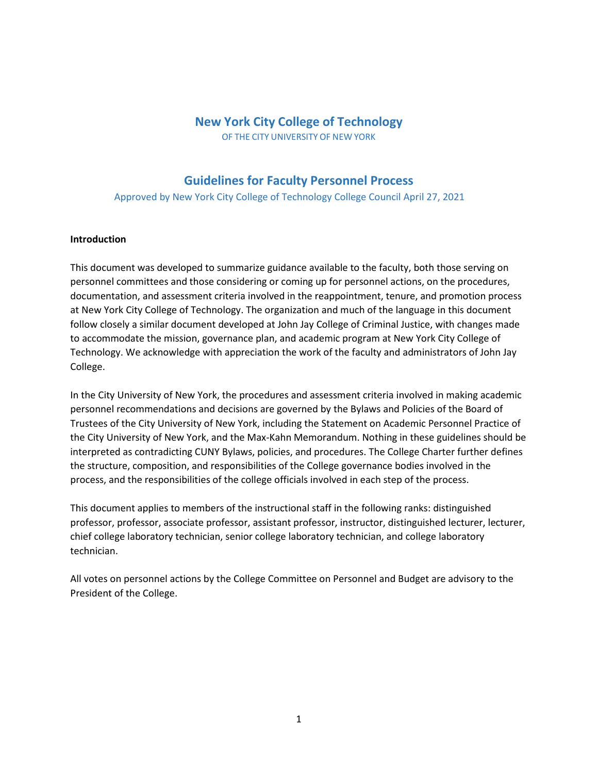# **New York City College of Technology**

OF THE CITY UNIVERSITY OF NEW YORK

# **Guidelines for Faculty Personnel Process**

Approved by New York City College of Technology College Council April 27, 2021

#### **Introduction**

This document was developed to summarize guidance available to the faculty, both those serving on personnel committees and those considering or coming up for personnel actions, on the procedures, documentation, and assessment criteria involved in the reappointment, tenure, and promotion process at New York City College of Technology. The organization and much of the language in this document follow closely a similar document developed at John Jay College of Criminal Justice, with changes made to accommodate the mission, governance plan, and academic program at New York City College of Technology. We acknowledge with appreciation the work of the faculty and administrators of John Jay College.

In the City University of New York, the procedures and assessment criteria involved in making academic personnel recommendations and decisions are governed by the Bylaws and Policies of the Board of Trustees of the City University of New York, including the Statement on Academic Personnel Practice of the City University of New York, and the Max-Kahn Memorandum. Nothing in these guidelines should be interpreted as contradicting CUNY Bylaws, policies, and procedures. The College Charter further defines the structure, composition, and responsibilities of the College governance bodies involved in the process, and the responsibilities of the college officials involved in each step of the process.

This document applies to members of the instructional staff in the following ranks: distinguished professor, professor, associate professor, assistant professor, instructor, distinguished lecturer, lecturer, chief college laboratory technician, senior college laboratory technician, and college laboratory technician.

All votes on personnel actions by the College Committee on Personnel and Budget are advisory to the President of the College.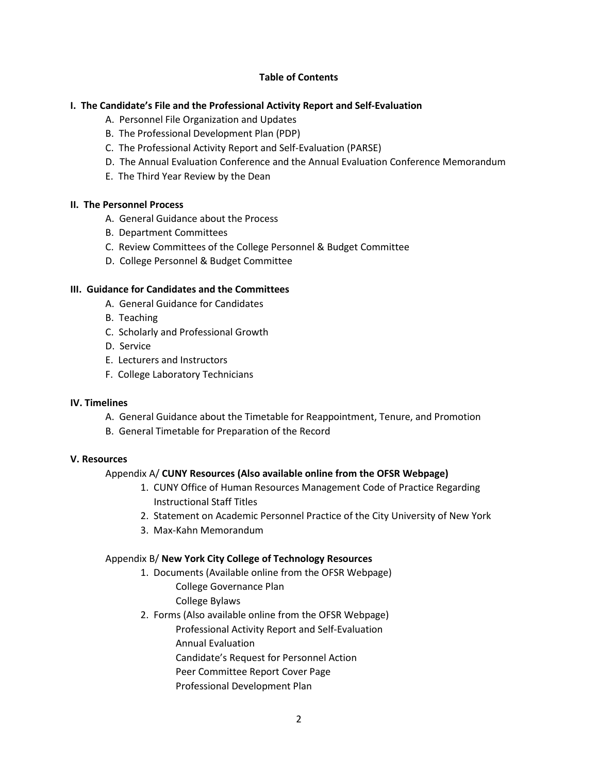### **Table of Contents**

# **I. The Candidate's File and the Professional Activity Report and Self-Evaluation**

- A. Personnel File Organization and Updates
- B. The Professional Development Plan (PDP)
- C. The Professional Activity Report and Self-Evaluation (PARSE)
- D. The Annual Evaluation Conference and the Annual Evaluation Conference Memorandum
- E. The Third Year Review by the Dean

### **II. The Personnel Process**

- A. General Guidance about the Process
- B. Department Committees
- C. Review Committees of the College Personnel & Budget Committee
- D. College Personnel & Budget Committee

# **III. Guidance for Candidates and the Committees**

- A. General Guidance for Candidates
- B. Teaching
- C. Scholarly and Professional Growth
- D. Service
- E. Lecturers and Instructors
- F. College Laboratory Technicians

### **IV. Timelines**

- A. General Guidance about the Timetable for Reappointment, Tenure, and Promotion
- B. General Timetable for Preparation of the Record

### **V. Resources**

### Appendix A/ **CUNY Resources (Also available online from the OFSR Webpage)**

- 1. CUNY Office of Human Resources Management Code of Practice Regarding Instructional Staff Titles
- 2. Statement on Academic Personnel Practice of the City University of New York
- 3. Max-Kahn Memorandum

# Appendix B/ **New York City College of Technology Resources**

- 1. Documents (Available online from the OFSR Webpage) College Governance Plan College Bylaws
- 2. Forms (Also available online from the OFSR Webpage) Professional Activity Report and Self-Evaluation Annual Evaluation Candidate's Request for Personnel Action Peer Committee Report Cover Page
	- Professional Development Plan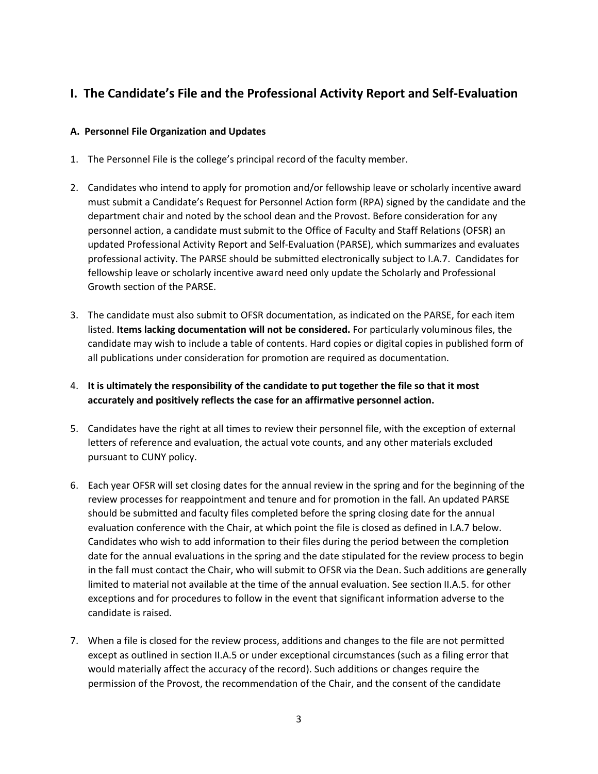# **I. The Candidate's File and the Professional Activity Report and Self-Evaluation**

# **A. Personnel File Organization and Updates**

- 1. The Personnel File is the college's principal record of the faculty member.
- 2. Candidates who intend to apply for promotion and/or fellowship leave or scholarly incentive award must submit a Candidate's Request for Personnel Action form (RPA) signed by the candidate and the department chair and noted by the school dean and the Provost. Before consideration for any personnel action, a candidate must submit to the Office of Faculty and Staff Relations (OFSR) an updated Professional Activity Report and Self-Evaluation (PARSE), which summarizes and evaluates professional activity. The PARSE should be submitted electronically subject to I.A.7. Candidates for fellowship leave or scholarly incentive award need only update the Scholarly and Professional Growth section of the PARSE.
- 3. The candidate must also submit to OFSR documentation, as indicated on the PARSE, for each item listed. **Items lacking documentation will not be considered.** For particularly voluminous files, the candidate may wish to include a table of contents. Hard copies or digital copies in published form of all publications under consideration for promotion are required as documentation.
- 4. **It is ultimately the responsibility of the candidate to put together the file so that it most accurately and positively reflects the case for an affirmative personnel action.**
- 5. Candidates have the right at all times to review their personnel file, with the exception of external letters of reference and evaluation, the actual vote counts, and any other materials excluded pursuant to CUNY policy.
- 6. Each year OFSR will set closing dates for the annual review in the spring and for the beginning of the review processes for reappointment and tenure and for promotion in the fall. An updated PARSE should be submitted and faculty files completed before the spring closing date for the annual evaluation conference with the Chair, at which point the file is closed as defined in I.A.7 below. Candidates who wish to add information to their files during the period between the completion date for the annual evaluations in the spring and the date stipulated for the review process to begin in the fall must contact the Chair, who will submit to OFSR via the Dean. Such additions are generally limited to material not available at the time of the annual evaluation. See section II.A.5. for other exceptions and for procedures to follow in the event that significant information adverse to the candidate is raised.
- 7. When a file is closed for the review process, additions and changes to the file are not permitted except as outlined in section II.A.5 or under exceptional circumstances (such as a filing error that would materially affect the accuracy of the record). Such additions or changes require the permission of the Provost, the recommendation of the Chair, and the consent of the candidate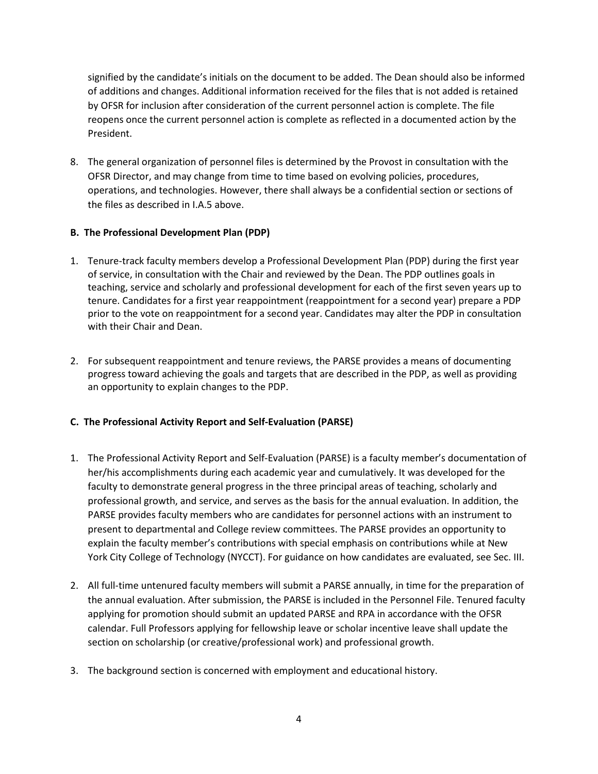signified by the candidate's initials on the document to be added. The Dean should also be informed of additions and changes. Additional information received for the files that is not added is retained by OFSR for inclusion after consideration of the current personnel action is complete. The file reopens once the current personnel action is complete as reflected in a documented action by the President.

8. The general organization of personnel files is determined by the Provost in consultation with the OFSR Director, and may change from time to time based on evolving policies, procedures, operations, and technologies. However, there shall always be a confidential section or sections of the files as described in I.A.5 above.

# **B. The Professional Development Plan (PDP)**

- 1. Tenure-track faculty members develop a Professional Development Plan (PDP) during the first year of service, in consultation with the Chair and reviewed by the Dean. The PDP outlines goals in teaching, service and scholarly and professional development for each of the first seven years up to tenure. Candidates for a first year reappointment (reappointment for a second year) prepare a PDP prior to the vote on reappointment for a second year. Candidates may alter the PDP in consultation with their Chair and Dean.
- 2. For subsequent reappointment and tenure reviews, the PARSE provides a means of documenting progress toward achieving the goals and targets that are described in the PDP, as well as providing an opportunity to explain changes to the PDP.

# **C. The Professional Activity Report and Self-Evaluation (PARSE)**

- 1. The Professional Activity Report and Self-Evaluation (PARSE) is a faculty member's documentation of her/his accomplishments during each academic year and cumulatively. It was developed for the faculty to demonstrate general progress in the three principal areas of teaching, scholarly and professional growth, and service, and serves as the basis for the annual evaluation. In addition, the PARSE provides faculty members who are candidates for personnel actions with an instrument to present to departmental and College review committees. The PARSE provides an opportunity to explain the faculty member's contributions with special emphasis on contributions while at New York City College of Technology (NYCCT). For guidance on how candidates are evaluated, see Sec. III.
- 2. All full-time untenured faculty members will submit a PARSE annually, in time for the preparation of the annual evaluation. After submission, the PARSE is included in the Personnel File. Tenured faculty applying for promotion should submit an updated PARSE and RPA in accordance with the OFSR calendar. Full Professors applying for fellowship leave or scholar incentive leave shall update the section on scholarship (or creative/professional work) and professional growth.
- 3. The background section is concerned with employment and educational history.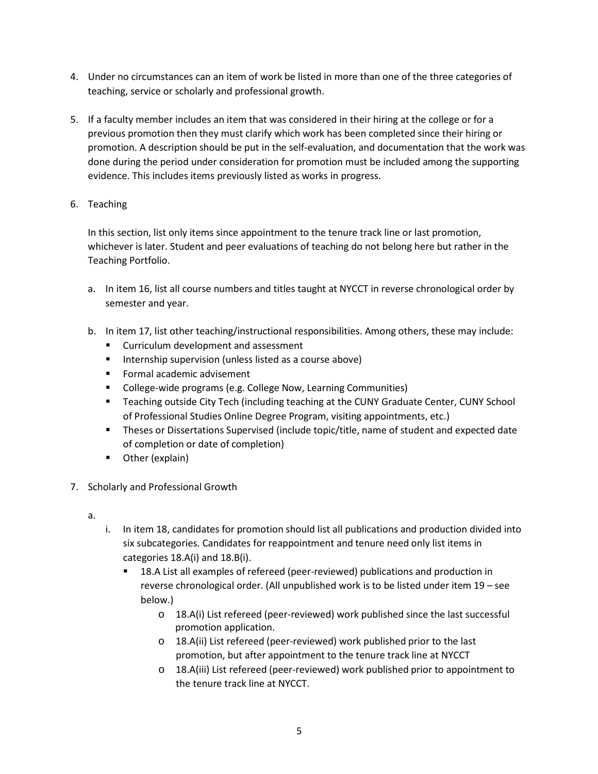- 4. Under no circumstances can an item of work be listed in more than one of the three categories of teaching, service or scholarly and professional growth.
- 5. If a faculty member includes an item that was considered in their hiring at the college or for a previous promotion then they must clarify which work has been completed since their hiring or promotion. A description should be put in the self-evaluation, and documentation that the work was done during the period under consideration for promotion must be included among the supporting evidence. This includes items previously listed as works in progress.
- 6. Teaching

In this section, list only items since appointment to the tenure track line or last promotion, whichever is later. Student and peer evaluations of teaching do not belong here but rather in the Teaching Portfolio.

- a. In item 16, list all course numbers and titles taught at NYCCT in reverse chronological order by semester and year.
- b. In item 17, list other teaching/instructional responsibilities. Among others, these may include:
	- **EXECUTE:** Curriculum development and assessment
	- **Internship supervision (unless listed as a course above)**
	- **Formal academic advisement**
	- **College-wide programs (e.g. College Now, Learning Communities)**
	- Teaching outside City Tech (including teaching at the CUNY Graduate Center, CUNY School of Professional Studies Online Degree Program, visiting appointments, etc.)
	- Theses or Dissertations Supervised (include topic/title, name of student and expected date of completion or date of completion)
	- **•** Other (explain)
- 7. Scholarly and Professional Growth
	- a.
- i. In item 18, candidates for promotion should list all publications and production divided into six subcategories. Candidates for reappointment and tenure need only list items in categories 18.A(i) and 18.B(i).
	- 18.A List all examples of refereed (peer-reviewed) publications and production in reverse chronological order. (All unpublished work is to be listed under item 19 – see below.)
		- o 18.A(i) List refereed (peer-reviewed) work published since the last successful promotion application.
		- o 18.A(ii) List refereed (peer-reviewed) work published prior to the last promotion, but after appointment to the tenure track line at NYCCT
		- o 18.A(iii) List refereed (peer-reviewed) work published prior to appointment to the tenure track line at NYCCT.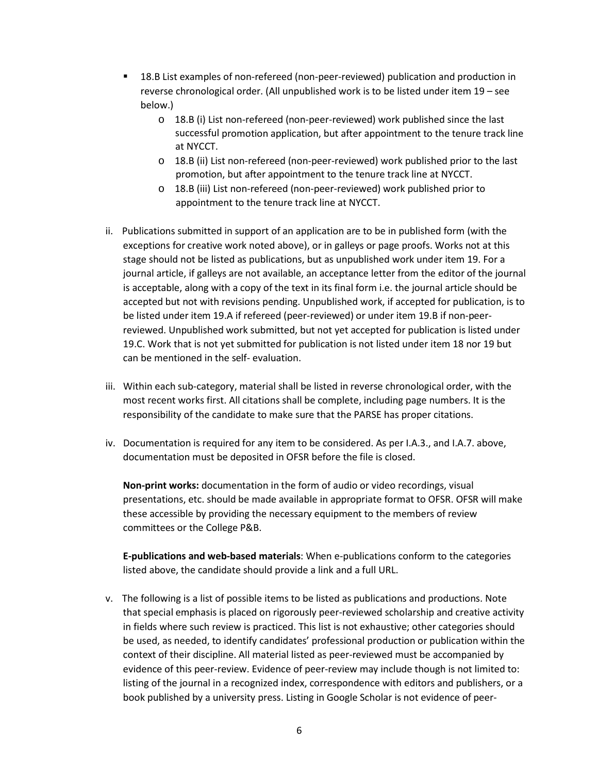- 18.B List examples of non-refereed (non-peer-reviewed) publication and production in reverse chronological order. (All unpublished work is to be listed under item 19 – see below.)
	- o 18.B (i) List non-refereed (non-peer-reviewed) work published since the last successful promotion application, but after appointment to the tenure track line at NYCCT.
	- o 18.B (ii) List non-refereed (non-peer-reviewed) work published prior to the last promotion, but after appointment to the tenure track line at NYCCT.
	- o 18.B (iii) List non-refereed (non-peer-reviewed) work published prior to appointment to the tenure track line at NYCCT.
- ii. Publications submitted in support of an application are to be in published form (with the exceptions for creative work noted above), or in galleys or page proofs. Works not at this stage should not be listed as publications, but as unpublished work under item 19. For a journal article, if galleys are not available, an acceptance letter from the editor of the journal is acceptable, along with a copy of the text in its final form i.e. the journal article should be accepted but not with revisions pending. Unpublished work, if accepted for publication, is to be listed under item 19.A if refereed (peer-reviewed) or under item 19.B if non-peerreviewed. Unpublished work submitted, but not yet accepted for publication is listed under 19.C. Work that is not yet submitted for publication is not listed under item 18 nor 19 but can be mentioned in the self- evaluation.
- iii. Within each sub-category, material shall be listed in reverse chronological order, with the most recent works first. All citations shall be complete, including page numbers. It is the responsibility of the candidate to make sure that the PARSE has proper citations.
- iv. Documentation is required for any item to be considered. As per I.A.3., and I.A.7. above, documentation must be deposited in OFSR before the file is closed.

**Non-print works:** documentation in the form of audio or video recordings, visual presentations, etc. should be made available in appropriate format to OFSR. OFSR will make these accessible by providing the necessary equipment to the members of review committees or the College P&B.

**E-publications and web-based materials**: When e-publications conform to the categories listed above, the candidate should provide a link and a full URL.

v. The following is a list of possible items to be listed as publications and productions. Note that special emphasis is placed on rigorously peer-reviewed scholarship and creative activity in fields where such review is practiced. This list is not exhaustive; other categories should be used, as needed, to identify candidates' professional production or publication within the context of their discipline. All material listed as peer-reviewed must be accompanied by evidence of this peer-review. Evidence of peer-review may include though is not limited to: listing of the journal in a recognized index, correspondence with editors and publishers, or a book published by a university press. Listing in Google Scholar is not evidence of peer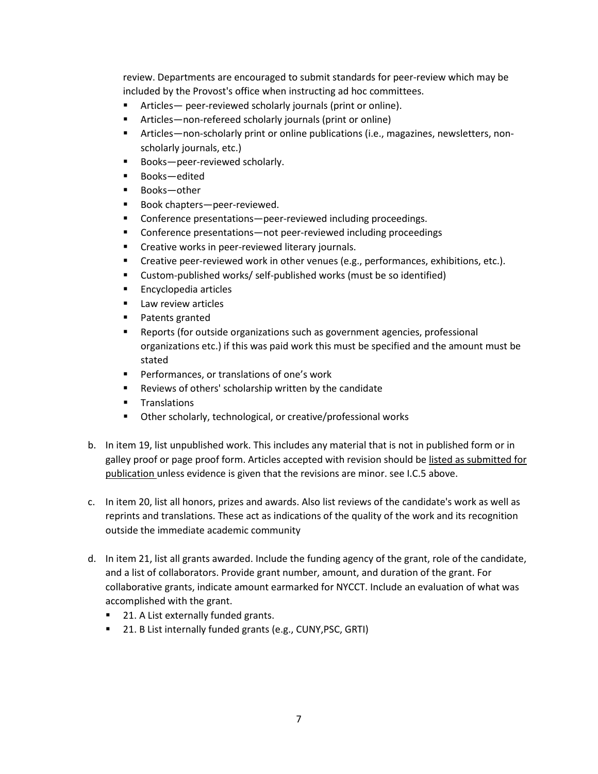review. Departments are encouraged to submit standards for peer-review which may be included by the Provost's office when instructing ad hoc committees.

- Articles— peer-reviewed scholarly journals (print or online).
- Articles—non-refereed scholarly journals (print or online)
- Articles—non-scholarly print or online publications (i.e., magazines, newsletters, nonscholarly journals, etc.)
- **Books**-peer-reviewed scholarly.
- Books—edited
- Books—other
- **Book chapters**-peer-reviewed.
- Conference presentations—peer-reviewed including proceedings.
- Conference presentations—not peer-reviewed including proceedings
- **EXECT** Creative works in peer-reviewed literary journals.
- Creative peer-reviewed work in other venues (e.g., performances, exhibitions, etc.).
- Custom-published works/ self-published works (must be so identified)
- **Encyclopedia articles**
- **Law review articles**
- **Patents granted**
- Reports (for outside organizations such as government agencies, professional organizations etc.) if this was paid work this must be specified and the amount must be stated
- Performances, or translations of one's work
- **Reviews of others' scholarship written by the candidate**
- **Translations**
- Other scholarly, technological, or creative/professional works
- b. In item 19, list unpublished work. This includes any material that is not in published form or in galley proof or page proof form. Articles accepted with revision should be listed as submitted for publication unless evidence is given that the revisions are minor. see I.C.5 above.
- c. In item 20, list all honors, prizes and awards. Also list reviews of the candidate's work as well as reprints and translations. These act as indications of the quality of the work and its recognition outside the immediate academic community
- d. In item 21, list all grants awarded. Include the funding agency of the grant, role of the candidate, and a list of collaborators. Provide grant number, amount, and duration of the grant. For collaborative grants, indicate amount earmarked for NYCCT. Include an evaluation of what was accomplished with the grant.
	- 21. A List externally funded grants.
	- 21. B List internally funded grants (e.g., CUNY, PSC, GRTI)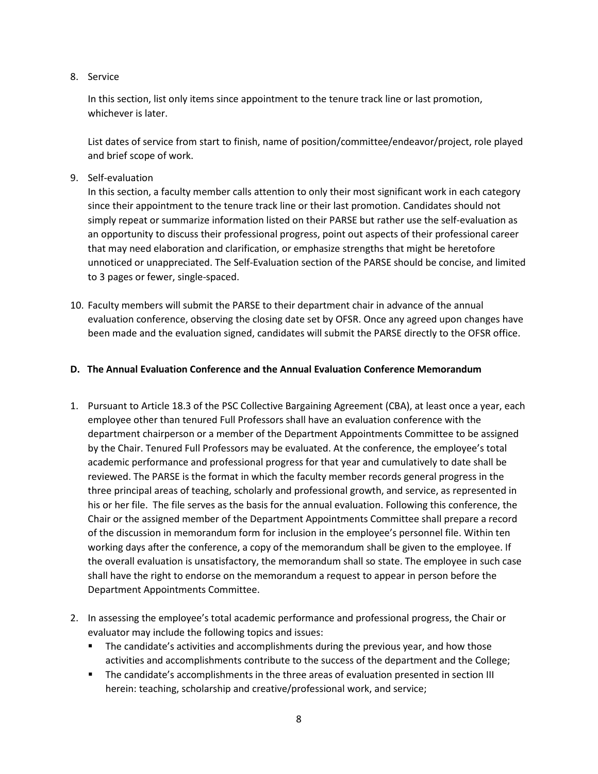### 8. Service

In this section, list only items since appointment to the tenure track line or last promotion, whichever is later.

List dates of service from start to finish, name of position/committee/endeavor/project, role played and brief scope of work.

9. Self-evaluation

In this section, a faculty member calls attention to only their most significant work in each category since their appointment to the tenure track line or their last promotion. Candidates should not simply repeat or summarize information listed on their PARSE but rather use the self-evaluation as an opportunity to discuss their professional progress, point out aspects of their professional career that may need elaboration and clarification, or emphasize strengths that might be heretofore unnoticed or unappreciated. The Self-Evaluation section of the PARSE should be concise, and limited to 3 pages or fewer, single-spaced.

10. Faculty members will submit the PARSE to their department chair in advance of the annual evaluation conference, observing the closing date set by OFSR. Once any agreed upon changes have been made and the evaluation signed, candidates will submit the PARSE directly to the OFSR office.

# **D. The Annual Evaluation Conference and the Annual Evaluation Conference Memorandum**

- 1. Pursuant to Article 18.3 of the PSC Collective Bargaining Agreement (CBA), at least once a year, each employee other than tenured Full Professors shall have an evaluation conference with the department chairperson or a member of the Department Appointments Committee to be assigned by the Chair. Tenured Full Professors may be evaluated. At the conference, the employee's total academic performance and professional progress for that year and cumulatively to date shall be reviewed. The PARSE is the format in which the faculty member records general progress in the three principal areas of teaching, scholarly and professional growth, and service, as represented in his or her file. The file serves as the basis for the annual evaluation. Following this conference, the Chair or the assigned member of the Department Appointments Committee shall prepare a record of the discussion in memorandum form for inclusion in the employee's personnel file. Within ten working days after the conference, a copy of the memorandum shall be given to the employee. If the overall evaluation is unsatisfactory, the memorandum shall so state. The employee in such case shall have the right to endorse on the memorandum a request to appear in person before the Department Appointments Committee.
- 2. In assessing the employee's total academic performance and professional progress, the Chair or evaluator may include the following topics and issues:
	- **The candidate's activities and accomplishments during the previous year, and how those** activities and accomplishments contribute to the success of the department and the College;
	- The candidate's accomplishments in the three areas of evaluation presented in section III herein: teaching, scholarship and creative/professional work, and service;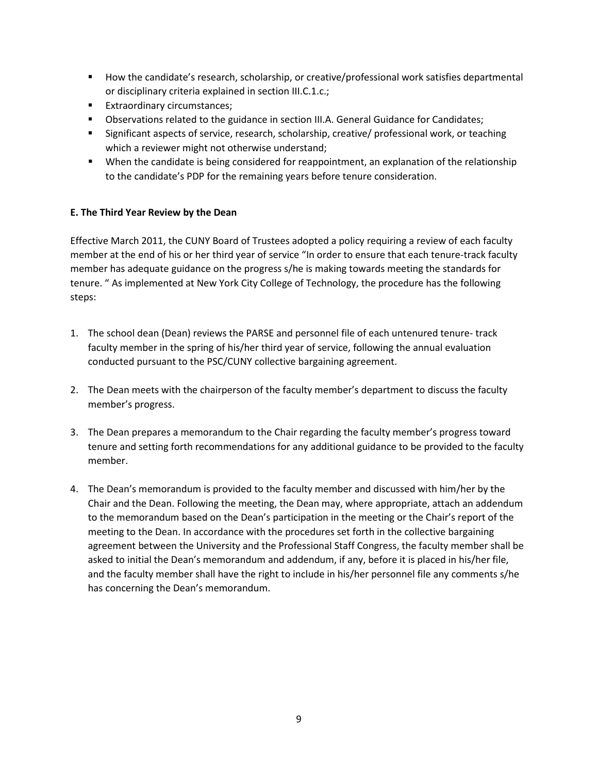- How the candidate's research, scholarship, or creative/professional work satisfies departmental or disciplinary criteria explained in section III.C.1.c.;
- **Extraordinary circumstances;**
- Observations related to the guidance in section III.A. General Guidance for Candidates;
- Significant aspects of service, research, scholarship, creative/ professional work, or teaching which a reviewer might not otherwise understand;
- When the candidate is being considered for reappointment, an explanation of the relationship to the candidate's PDP for the remaining years before tenure consideration.

# **E. The Third Year Review by the Dean**

Effective March 2011, the CUNY Board of Trustees adopted a policy requiring a review of each faculty member at the end of his or her third year of service "In order to ensure that each tenure-track faculty member has adequate guidance on the progress s/he is making towards meeting the standards for tenure. " As implemented at New York City College of Technology, the procedure has the following steps:

- 1. The school dean (Dean) reviews the PARSE and personnel file of each untenured tenure- track faculty member in the spring of his/her third year of service, following the annual evaluation conducted pursuant to the PSC/CUNY collective bargaining agreement.
- 2. The Dean meets with the chairperson of the faculty member's department to discuss the faculty member's progress.
- 3. The Dean prepares a memorandum to the Chair regarding the faculty member's progress toward tenure and setting forth recommendations for any additional guidance to be provided to the faculty member.
- 4. The Dean's memorandum is provided to the faculty member and discussed with him/her by the Chair and the Dean. Following the meeting, the Dean may, where appropriate, attach an addendum to the memorandum based on the Dean's participation in the meeting or the Chair's report of the meeting to the Dean. In accordance with the procedures set forth in the collective bargaining agreement between the University and the Professional Staff Congress, the faculty member shall be asked to initial the Dean's memorandum and addendum, if any, before it is placed in his/her file, and the faculty member shall have the right to include in his/her personnel file any comments s/he has concerning the Dean's memorandum.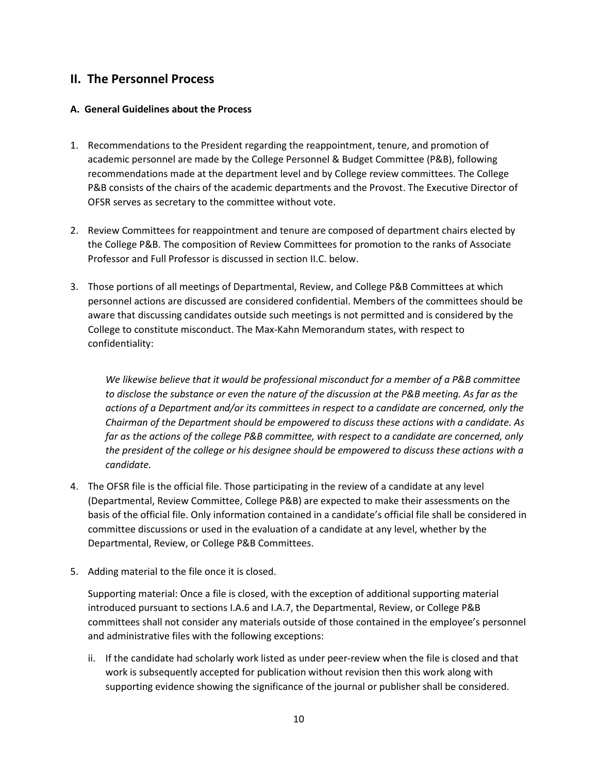# **II. The Personnel Process**

### **A. General Guidelines about the Process**

- 1. Recommendations to the President regarding the reappointment, tenure, and promotion of academic personnel are made by the College Personnel & Budget Committee (P&B), following recommendations made at the department level and by College review committees. The College P&B consists of the chairs of the academic departments and the Provost. The Executive Director of OFSR serves as secretary to the committee without vote.
- 2. Review Committees for reappointment and tenure are composed of department chairs elected by the College P&B. The composition of Review Committees for promotion to the ranks of Associate Professor and Full Professor is discussed in section II.C. below.
- 3. Those portions of all meetings of Departmental, Review, and College P&B Committees at which personnel actions are discussed are considered confidential. Members of the committees should be aware that discussing candidates outside such meetings is not permitted and is considered by the College to constitute misconduct. The Max-Kahn Memorandum states, with respect to confidentiality:

*We likewise believe that it would be professional misconduct for a member of a P&B committee to disclose the substance or even the nature of the discussion at the P&B meeting. As far as the actions of a Department and/or its committees in respect to a candidate are concerned, only the Chairman of the Department should be empowered to discuss these actions with a candidate. As far as the actions of the college P&B committee, with respect to a candidate are concerned, only the president of the college or his designee should be empowered to discuss these actions with a candidate.*

- 4. The OFSR file is the official file. Those participating in the review of a candidate at any level (Departmental, Review Committee, College P&B) are expected to make their assessments on the basis of the official file. Only information contained in a candidate's official file shall be considered in committee discussions or used in the evaluation of a candidate at any level, whether by the Departmental, Review, or College P&B Committees.
- 5. Adding material to the file once it is closed.

Supporting material: Once a file is closed, with the exception of additional supporting material introduced pursuant to sections I.A.6 and I.A.7, the Departmental, Review, or College P&B committees shall not consider any materials outside of those contained in the employee's personnel and administrative files with the following exceptions:

ii. If the candidate had scholarly work listed as under peer-review when the file is closed and that work is subsequently accepted for publication without revision then this work along with supporting evidence showing the significance of the journal or publisher shall be considered.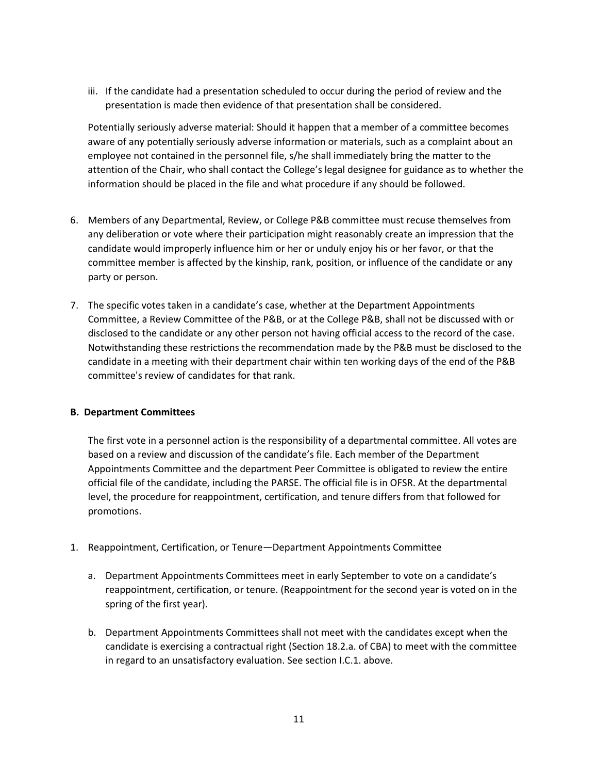iii. If the candidate had a presentation scheduled to occur during the period of review and the presentation is made then evidence of that presentation shall be considered.

Potentially seriously adverse material: Should it happen that a member of a committee becomes aware of any potentially seriously adverse information or materials, such as a complaint about an employee not contained in the personnel file, s/he shall immediately bring the matter to the attention of the Chair, who shall contact the College's legal designee for guidance as to whether the information should be placed in the file and what procedure if any should be followed.

- 6. Members of any Departmental, Review, or College P&B committee must recuse themselves from any deliberation or vote where their participation might reasonably create an impression that the candidate would improperly influence him or her or unduly enjoy his or her favor, or that the committee member is affected by the kinship, rank, position, or influence of the candidate or any party or person.
- 7. The specific votes taken in a candidate's case, whether at the Department Appointments Committee, a Review Committee of the P&B, or at the College P&B, shall not be discussed with or disclosed to the candidate or any other person not having official access to the record of the case. Notwithstanding these restrictions the recommendation made by the P&B must be disclosed to the candidate in a meeting with their department chair within ten working days of the end of the P&B committee's review of candidates for that rank.

### **B. Department Committees**

The first vote in a personnel action is the responsibility of a departmental committee. All votes are based on a review and discussion of the candidate's file. Each member of the Department Appointments Committee and the department Peer Committee is obligated to review the entire official file of the candidate, including the PARSE. The official file is in OFSR. At the departmental level, the procedure for reappointment, certification, and tenure differs from that followed for promotions.

- 1. Reappointment, Certification, or Tenure—Department Appointments Committee
	- a. Department Appointments Committees meet in early September to vote on a candidate's reappointment, certification, or tenure. (Reappointment for the second year is voted on in the spring of the first year).
	- b. Department Appointments Committees shall not meet with the candidates except when the candidate is exercising a contractual right (Section 18.2.a. of CBA) to meet with the committee in regard to an unsatisfactory evaluation. See section I.C.1. above.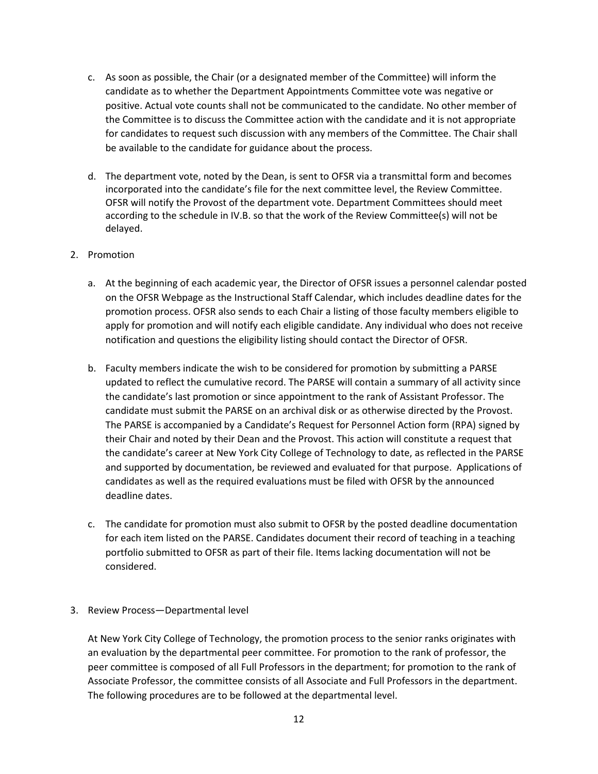- c. As soon as possible, the Chair (or a designated member of the Committee) will inform the candidate as to whether the Department Appointments Committee vote was negative or positive. Actual vote counts shall not be communicated to the candidate. No other member of the Committee is to discuss the Committee action with the candidate and it is not appropriate for candidates to request such discussion with any members of the Committee. The Chair shall be available to the candidate for guidance about the process.
- d. The department vote, noted by the Dean, is sent to OFSR via a transmittal form and becomes incorporated into the candidate's file for the next committee level, the Review Committee. OFSR will notify the Provost of the department vote. Department Committees should meet according to the schedule in IV.B. so that the work of the Review Committee(s) will not be delayed.
- 2. Promotion
	- a. At the beginning of each academic year, the Director of OFSR issues a personnel calendar posted on the OFSR Webpage as the Instructional Staff Calendar, which includes deadline dates for the promotion process. OFSR also sends to each Chair a listing of those faculty members eligible to apply for promotion and will notify each eligible candidate. Any individual who does not receive notification and questions the eligibility listing should contact the Director of OFSR.
	- b. Faculty members indicate the wish to be considered for promotion by submitting a PARSE updated to reflect the cumulative record. The PARSE will contain a summary of all activity since the candidate's last promotion or since appointment to the rank of Assistant Professor. The candidate must submit the PARSE on an archival disk or as otherwise directed by the Provost. The PARSE is accompanied by a Candidate's Request for Personnel Action form (RPA) signed by their Chair and noted by their Dean and the Provost. This action will constitute a request that the candidate's career at New York City College of Technology to date, as reflected in the PARSE and supported by documentation, be reviewed and evaluated for that purpose. Applications of candidates as well as the required evaluations must be filed with OFSR by the announced deadline dates.
	- c. The candidate for promotion must also submit to OFSR by the posted deadline documentation for each item listed on the PARSE. Candidates document their record of teaching in a teaching portfolio submitted to OFSR as part of their file. Items lacking documentation will not be considered.
- 3. Review Process—Departmental level

At New York City College of Technology, the promotion process to the senior ranks originates with an evaluation by the departmental peer committee. For promotion to the rank of professor, the peer committee is composed of all Full Professors in the department; for promotion to the rank of Associate Professor, the committee consists of all Associate and Full Professors in the department. The following procedures are to be followed at the departmental level.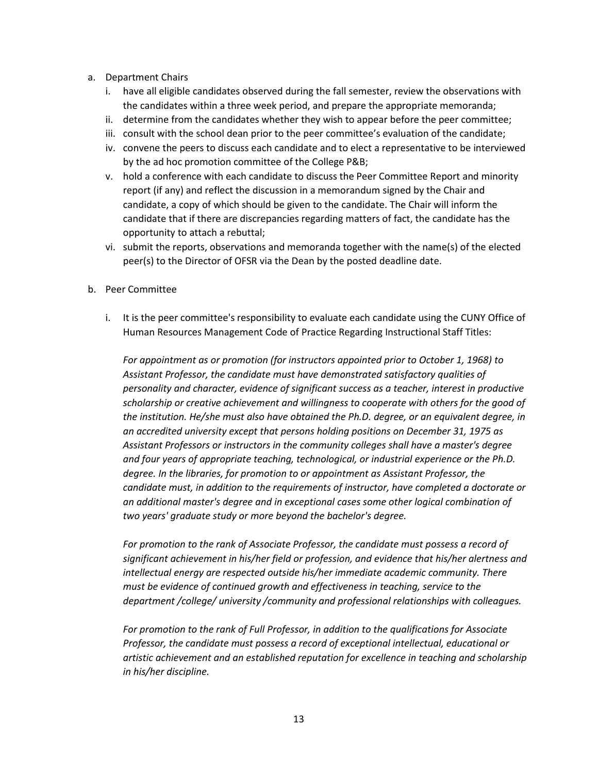- a. Department Chairs
	- i. have all eligible candidates observed during the fall semester, review the observations with the candidates within a three week period, and prepare the appropriate memoranda;
	- ii. determine from the candidates whether they wish to appear before the peer committee;
	- iii. consult with the school dean prior to the peer committee's evaluation of the candidate;
	- iv. convene the peers to discuss each candidate and to elect a representative to be interviewed by the ad hoc promotion committee of the College P&B;
	- v. hold a conference with each candidate to discuss the Peer Committee Report and minority report (if any) and reflect the discussion in a memorandum signed by the Chair and candidate, a copy of which should be given to the candidate. The Chair will inform the candidate that if there are discrepancies regarding matters of fact, the candidate has the opportunity to attach a rebuttal;
	- vi. submit the reports, observations and memoranda together with the name(s) of the elected peer(s) to the Director of OFSR via the Dean by the posted deadline date.
- b. Peer Committee
	- i. It is the peer committee's responsibility to evaluate each candidate using the CUNY Office of Human Resources Management Code of Practice Regarding Instructional Staff Titles:

*For appointment as or promotion (for instructors appointed prior to October 1, 1968) to Assistant Professor, the candidate must have demonstrated satisfactory qualities of personality and character, evidence of significant success as a teacher, interest in productive scholarship or creative achievement and willingness to cooperate with others for the good of the institution. He/she must also have obtained the Ph.D. degree, or an equivalent degree, in an accredited university except that persons holding positions on December 31, 1975 as Assistant Professors or instructors in the community colleges shall have a master's degree and four years of appropriate teaching, technological, or industrial experience or the Ph.D. degree. In the libraries, for promotion to or appointment as Assistant Professor, the candidate must, in addition to the requirements of instructor, have completed a doctorate or an additional master's degree and in exceptional cases some other logical combination of two years' graduate study or more beyond the bachelor's degree.*

*For promotion to the rank of Associate Professor, the candidate must possess a record of significant achievement in his/her field or profession, and evidence that his/her alertness and intellectual energy are respected outside his/her immediate academic community. There must be evidence of continued growth and effectiveness in teaching, service to the department /college/ university /community and professional relationships with colleagues.*

*For promotion to the rank of Full Professor, in addition to the qualifications for Associate Professor, the candidate must possess a record of exceptional intellectual, educational or artistic achievement and an established reputation for excellence in teaching and scholarship in his/her discipline.*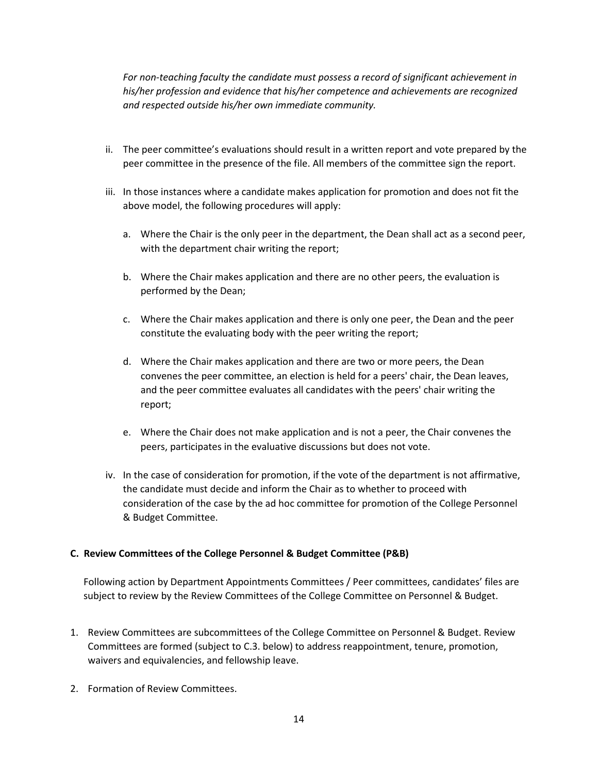*For non-teaching faculty the candidate must possess a record of significant achievement in his/her profession and evidence that his/her competence and achievements are recognized and respected outside his/her own immediate community.*

- ii. The peer committee's evaluations should result in a written report and vote prepared by the peer committee in the presence of the file. All members of the committee sign the report.
- iii. In those instances where a candidate makes application for promotion and does not fit the above model, the following procedures will apply:
	- a. Where the Chair is the only peer in the department, the Dean shall act as a second peer, with the department chair writing the report;
	- b. Where the Chair makes application and there are no other peers, the evaluation is performed by the Dean;
	- c. Where the Chair makes application and there is only one peer, the Dean and the peer constitute the evaluating body with the peer writing the report;
	- d. Where the Chair makes application and there are two or more peers, the Dean convenes the peer committee, an election is held for a peers' chair, the Dean leaves, and the peer committee evaluates all candidates with the peers' chair writing the report;
	- e. Where the Chair does not make application and is not a peer, the Chair convenes the peers, participates in the evaluative discussions but does not vote.
- iv. In the case of consideration for promotion, if the vote of the department is not affirmative, the candidate must decide and inform the Chair as to whether to proceed with consideration of the case by the ad hoc committee for promotion of the College Personnel & Budget Committee.

### **C. Review Committees of the College Personnel & Budget Committee (P&B)**

Following action by Department Appointments Committees / Peer committees, candidates' files are subject to review by the Review Committees of the College Committee on Personnel & Budget.

- 1. Review Committees are subcommittees of the College Committee on Personnel & Budget. Review Committees are formed (subject to C.3. below) to address reappointment, tenure, promotion, waivers and equivalencies, and fellowship leave.
- 2. Formation of Review Committees.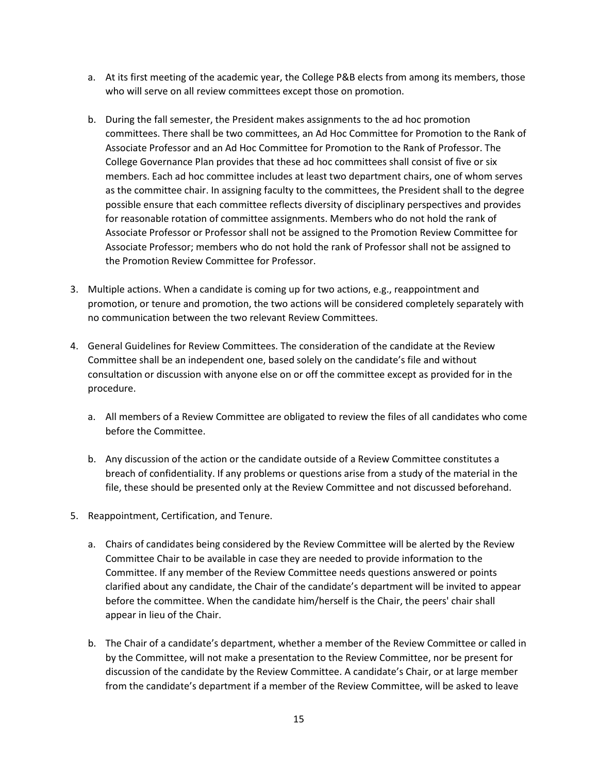- a. At its first meeting of the academic year, the College P&B elects from among its members, those who will serve on all review committees except those on promotion.
- b. During the fall semester, the President makes assignments to the ad hoc promotion committees. There shall be two committees, an Ad Hoc Committee for Promotion to the Rank of Associate Professor and an Ad Hoc Committee for Promotion to the Rank of Professor. The College Governance Plan provides that these ad hoc committees shall consist of five or six members. Each ad hoc committee includes at least two department chairs, one of whom serves as the committee chair. In assigning faculty to the committees, the President shall to the degree possible ensure that each committee reflects diversity of disciplinary perspectives and provides for reasonable rotation of committee assignments. Members who do not hold the rank of Associate Professor or Professor shall not be assigned to the Promotion Review Committee for Associate Professor; members who do not hold the rank of Professor shall not be assigned to the Promotion Review Committee for Professor.
- 3. Multiple actions. When a candidate is coming up for two actions, e.g., reappointment and promotion, or tenure and promotion, the two actions will be considered completely separately with no communication between the two relevant Review Committees.
- 4. General Guidelines for Review Committees. The consideration of the candidate at the Review Committee shall be an independent one, based solely on the candidate's file and without consultation or discussion with anyone else on or off the committee except as provided for in the procedure.
	- a. All members of a Review Committee are obligated to review the files of all candidates who come before the Committee.
	- b. Any discussion of the action or the candidate outside of a Review Committee constitutes a breach of confidentiality. If any problems or questions arise from a study of the material in the file, these should be presented only at the Review Committee and not discussed beforehand.
- 5. Reappointment, Certification, and Tenure.
	- a. Chairs of candidates being considered by the Review Committee will be alerted by the Review Committee Chair to be available in case they are needed to provide information to the Committee. If any member of the Review Committee needs questions answered or points clarified about any candidate, the Chair of the candidate's department will be invited to appear before the committee. When the candidate him/herself is the Chair, the peers' chair shall appear in lieu of the Chair.
	- b. The Chair of a candidate's department, whether a member of the Review Committee or called in by the Committee, will not make a presentation to the Review Committee, nor be present for discussion of the candidate by the Review Committee. A candidate's Chair, or at large member from the candidate's department if a member of the Review Committee, will be asked to leave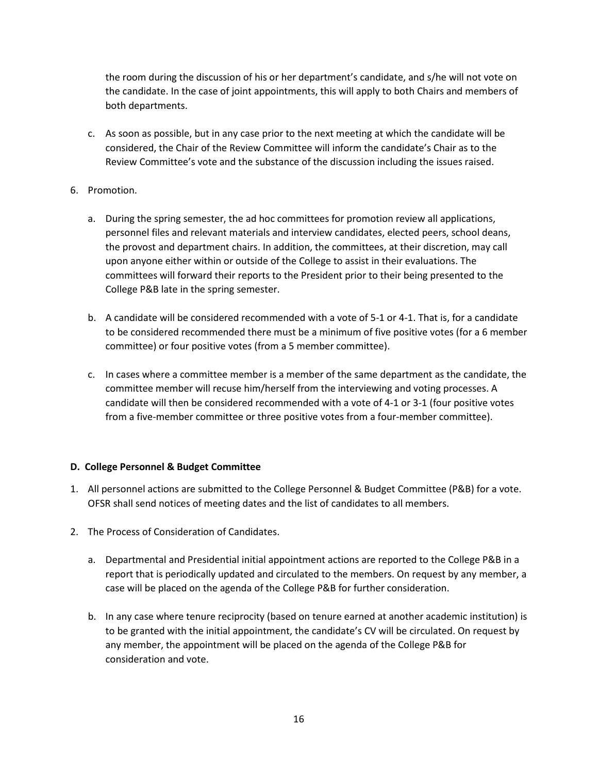the room during the discussion of his or her department's candidate, and s/he will not vote on the candidate. In the case of joint appointments, this will apply to both Chairs and members of both departments.

- c. As soon as possible, but in any case prior to the next meeting at which the candidate will be considered, the Chair of the Review Committee will inform the candidate's Chair as to the Review Committee's vote and the substance of the discussion including the issues raised.
- 6. Promotion.
	- a. During the spring semester, the ad hoc committees for promotion review all applications, personnel files and relevant materials and interview candidates, elected peers, school deans, the provost and department chairs. In addition, the committees, at their discretion, may call upon anyone either within or outside of the College to assist in their evaluations. The committees will forward their reports to the President prior to their being presented to the College P&B late in the spring semester.
	- b. A candidate will be considered recommended with a vote of 5-1 or 4-1. That is, for a candidate to be considered recommended there must be a minimum of five positive votes (for a 6 member committee) or four positive votes (from a 5 member committee).
	- c. In cases where a committee member is a member of the same department as the candidate, the committee member will recuse him/herself from the interviewing and voting processes. A candidate will then be considered recommended with a vote of 4-1 or 3-1 (four positive votes from a five-member committee or three positive votes from a four-member committee).

### **D. College Personnel & Budget Committee**

- 1. All personnel actions are submitted to the College Personnel & Budget Committee (P&B) for a vote. OFSR shall send notices of meeting dates and the list of candidates to all members.
- 2. The Process of Consideration of Candidates.
	- a. Departmental and Presidential initial appointment actions are reported to the College P&B in a report that is periodically updated and circulated to the members. On request by any member, a case will be placed on the agenda of the College P&B for further consideration.
	- b. In any case where tenure reciprocity (based on tenure earned at another academic institution) is to be granted with the initial appointment, the candidate's CV will be circulated. On request by any member, the appointment will be placed on the agenda of the College P&B for consideration and vote.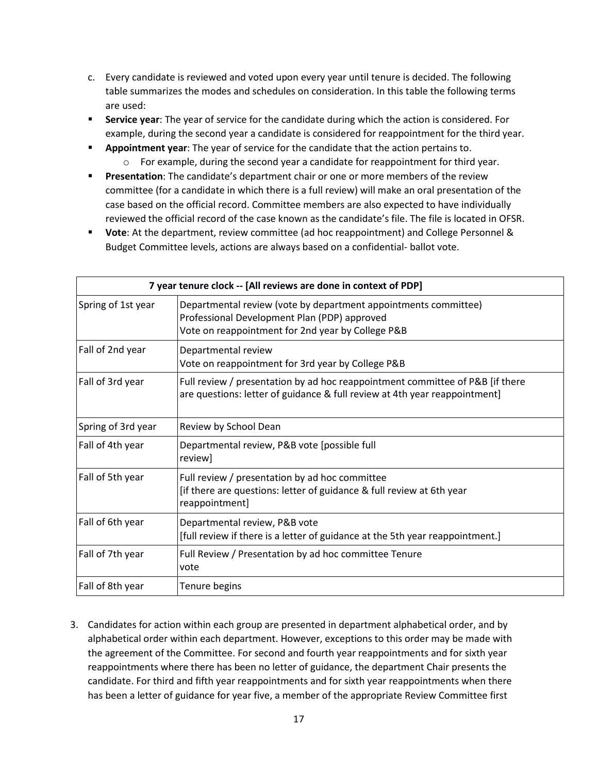- c. Every candidate is reviewed and voted upon every year until tenure is decided. The following table summarizes the modes and schedules on consideration. In this table the following terms are used:
- **Service year:** The year of service for the candidate during which the action is considered. For example, during the second year a candidate is considered for reappointment for the third year.
- **Appointment year**: The year of service for the candidate that the action pertains to.  $\circ$  For example, during the second year a candidate for reappointment for third year.
- **Presentation**: The candidate's department chair or one or more members of the review committee (for a candidate in which there is a full review) will make an oral presentation of the case based on the official record. Committee members are also expected to have individually reviewed the official record of the case known as the candidate's file. The file is located in OFSR.
- **Vote**: At the department, review committee (ad hoc reappointment) and College Personnel & Budget Committee levels, actions are always based on a confidential- ballot vote.

| 7 year tenure clock -- [All reviews are done in context of PDP] |                                                                                                                                                                      |  |
|-----------------------------------------------------------------|----------------------------------------------------------------------------------------------------------------------------------------------------------------------|--|
| Spring of 1st year                                              | Departmental review (vote by department appointments committee)<br>Professional Development Plan (PDP) approved<br>Vote on reappointment for 2nd year by College P&B |  |
| Fall of 2nd year                                                | Departmental review<br>Vote on reappointment for 3rd year by College P&B                                                                                             |  |
| Fall of 3rd year                                                | Full review / presentation by ad hoc reappointment committee of P&B [if there<br>are questions: letter of guidance & full review at 4th year reappointment]          |  |
| Spring of 3rd year                                              | Review by School Dean                                                                                                                                                |  |
| Fall of 4th year                                                | Departmental review, P&B vote [possible full<br>review]                                                                                                              |  |
| Fall of 5th year                                                | Full review / presentation by ad hoc committee<br>[if there are questions: letter of guidance & full review at 6th year<br>reappointment]                            |  |
| Fall of 6th year                                                | Departmental review, P&B vote<br>[full review if there is a letter of guidance at the 5th year reappointment.]                                                       |  |
| Fall of 7th year                                                | Full Review / Presentation by ad hoc committee Tenure<br>vote                                                                                                        |  |
| Fall of 8th year                                                | Tenure begins                                                                                                                                                        |  |

3. Candidates for action within each group are presented in department alphabetical order, and by alphabetical order within each department. However, exceptions to this order may be made with the agreement of the Committee. For second and fourth year reappointments and for sixth year reappointments where there has been no letter of guidance, the department Chair presents the candidate. For third and fifth year reappointments and for sixth year reappointments when there has been a letter of guidance for year five, a member of the appropriate Review Committee first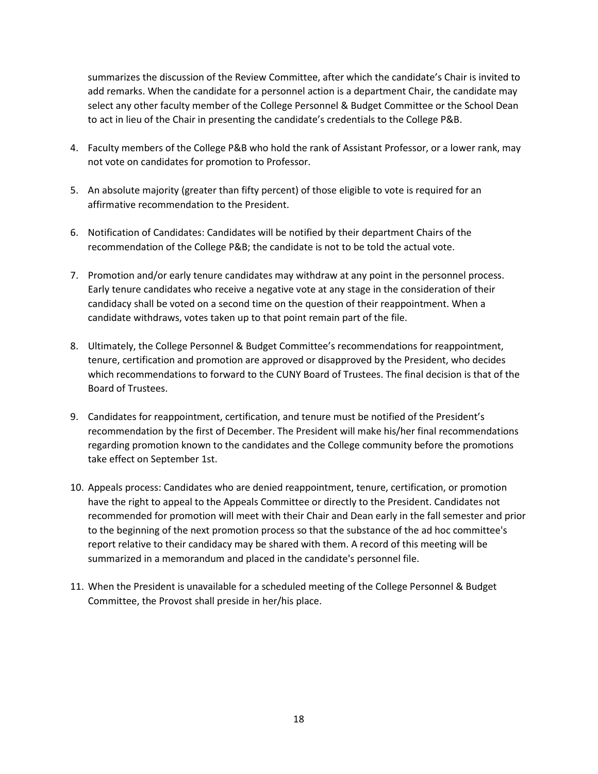summarizes the discussion of the Review Committee, after which the candidate's Chair is invited to add remarks. When the candidate for a personnel action is a department Chair, the candidate may select any other faculty member of the College Personnel & Budget Committee or the School Dean to act in lieu of the Chair in presenting the candidate's credentials to the College P&B.

- 4. Faculty members of the College P&B who hold the rank of Assistant Professor, or a lower rank, may not vote on candidates for promotion to Professor.
- 5. An absolute majority (greater than fifty percent) of those eligible to vote is required for an affirmative recommendation to the President.
- 6. Notification of Candidates: Candidates will be notified by their department Chairs of the recommendation of the College P&B; the candidate is not to be told the actual vote.
- 7. Promotion and/or early tenure candidates may withdraw at any point in the personnel process. Early tenure candidates who receive a negative vote at any stage in the consideration of their candidacy shall be voted on a second time on the question of their reappointment. When a candidate withdraws, votes taken up to that point remain part of the file.
- 8. Ultimately, the College Personnel & Budget Committee's recommendations for reappointment, tenure, certification and promotion are approved or disapproved by the President, who decides which recommendations to forward to the CUNY Board of Trustees. The final decision is that of the Board of Trustees.
- 9. Candidates for reappointment, certification, and tenure must be notified of the President's recommendation by the first of December. The President will make his/her final recommendations regarding promotion known to the candidates and the College community before the promotions take effect on September 1st.
- 10. Appeals process: Candidates who are denied reappointment, tenure, certification, or promotion have the right to appeal to the Appeals Committee or directly to the President. Candidates not recommended for promotion will meet with their Chair and Dean early in the fall semester and prior to the beginning of the next promotion process so that the substance of the ad hoc committee's report relative to their candidacy may be shared with them. A record of this meeting will be summarized in a memorandum and placed in the candidate's personnel file.
- 11. When the President is unavailable for a scheduled meeting of the College Personnel & Budget Committee, the Provost shall preside in her/his place.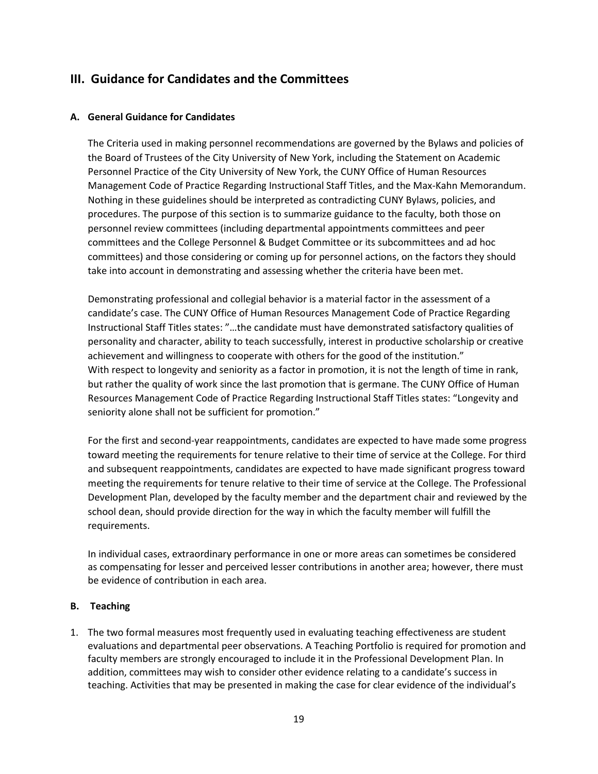# **III. Guidance for Candidates and the Committees**

### **A. General Guidance for Candidates**

The Criteria used in making personnel recommendations are governed by the Bylaws and policies of the Board of Trustees of the City University of New York, including the Statement on Academic Personnel Practice of the City University of New York, the CUNY Office of Human Resources Management Code of Practice Regarding Instructional Staff Titles, and the Max-Kahn Memorandum. Nothing in these guidelines should be interpreted as contradicting CUNY Bylaws, policies, and procedures. The purpose of this section is to summarize guidance to the faculty, both those on personnel review committees (including departmental appointments committees and peer committees and the College Personnel & Budget Committee or its subcommittees and ad hoc committees) and those considering or coming up for personnel actions, on the factors they should take into account in demonstrating and assessing whether the criteria have been met.

Demonstrating professional and collegial behavior is a material factor in the assessment of a candidate's case. The CUNY Office of Human Resources Management Code of Practice Regarding Instructional Staff Titles states: "…the candidate must have demonstrated satisfactory qualities of personality and character, ability to teach successfully, interest in productive scholarship or creative achievement and willingness to cooperate with others for the good of the institution." With respect to longevity and seniority as a factor in promotion, it is not the length of time in rank, but rather the quality of work since the last promotion that is germane. The CUNY Office of Human Resources Management Code of Practice Regarding Instructional Staff Titles states: "Longevity and seniority alone shall not be sufficient for promotion."

For the first and second-year reappointments, candidates are expected to have made some progress toward meeting the requirements for tenure relative to their time of service at the College. For third and subsequent reappointments, candidates are expected to have made significant progress toward meeting the requirements for tenure relative to their time of service at the College. The Professional Development Plan, developed by the faculty member and the department chair and reviewed by the school dean, should provide direction for the way in which the faculty member will fulfill the requirements.

In individual cases, extraordinary performance in one or more areas can sometimes be considered as compensating for lesser and perceived lesser contributions in another area; however, there must be evidence of contribution in each area.

### **B. Teaching**

1. The two formal measures most frequently used in evaluating teaching effectiveness are student evaluations and departmental peer observations. A Teaching Portfolio is required for promotion and faculty members are strongly encouraged to include it in the Professional Development Plan. In addition, committees may wish to consider other evidence relating to a candidate's success in teaching. Activities that may be presented in making the case for clear evidence of the individual's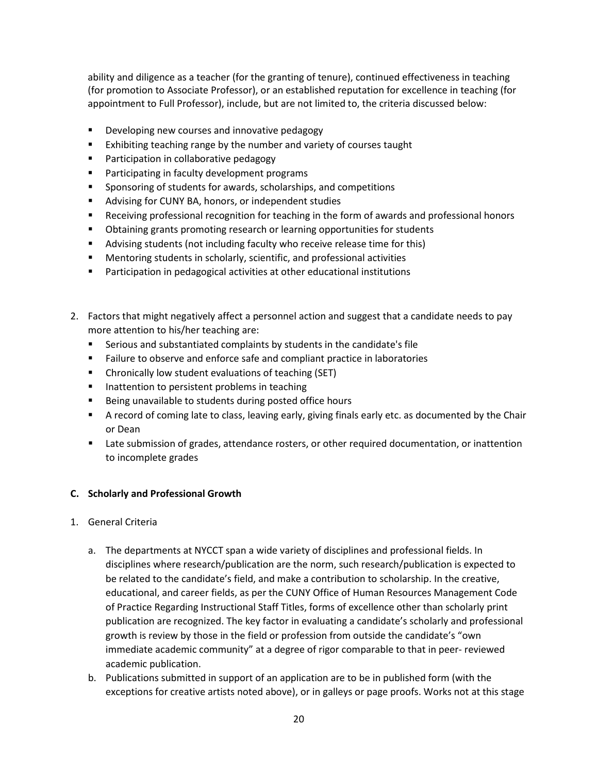ability and diligence as a teacher (for the granting of tenure), continued effectiveness in teaching (for promotion to Associate Professor), or an established reputation for excellence in teaching (for appointment to Full Professor), include, but are not limited to, the criteria discussed below:

- **Developing new courses and innovative pedagogy**
- **Exhibiting teaching range by the number and variety of courses taught**
- **Participation in collaborative pedagogy**
- **Participating in faculty development programs**
- **Sponsoring of students for awards, scholarships, and competitions**
- **Advising for CUNY BA, honors, or independent studies**
- Receiving professional recognition for teaching in the form of awards and professional honors
- **D** Obtaining grants promoting research or learning opportunities for students
- Advising students (not including faculty who receive release time for this)
- Mentoring students in scholarly, scientific, and professional activities
- Participation in pedagogical activities at other educational institutions
- 2. Factors that might negatively affect a personnel action and suggest that a candidate needs to pay more attention to his/her teaching are:
	- Serious and substantiated complaints by students in the candidate's file
	- **Failure to observe and enforce safe and compliant practice in laboratories**
	- Chronically low student evaluations of teaching (SET)
	- **IF Inattention to persistent problems in teaching**
	- Being unavailable to students during posted office hours
	- A record of coming late to class, leaving early, giving finals early etc. as documented by the Chair or Dean
	- **EXECT** Late submission of grades, attendance rosters, or other required documentation, or inattention to incomplete grades

### **C. Scholarly and Professional Growth**

- 1. General Criteria
	- a. The departments at NYCCT span a wide variety of disciplines and professional fields. In disciplines where research/publication are the norm, such research/publication is expected to be related to the candidate's field, and make a contribution to scholarship. In the creative, educational, and career fields, as per the CUNY Office of Human Resources Management Code of Practice Regarding Instructional Staff Titles, forms of excellence other than scholarly print publication are recognized. The key factor in evaluating a candidate's scholarly and professional growth is review by those in the field or profession from outside the candidate's "own immediate academic community" at a degree of rigor comparable to that in peer- reviewed academic publication.
	- b. Publications submitted in support of an application are to be in published form (with the exceptions for creative artists noted above), or in galleys or page proofs. Works not at this stage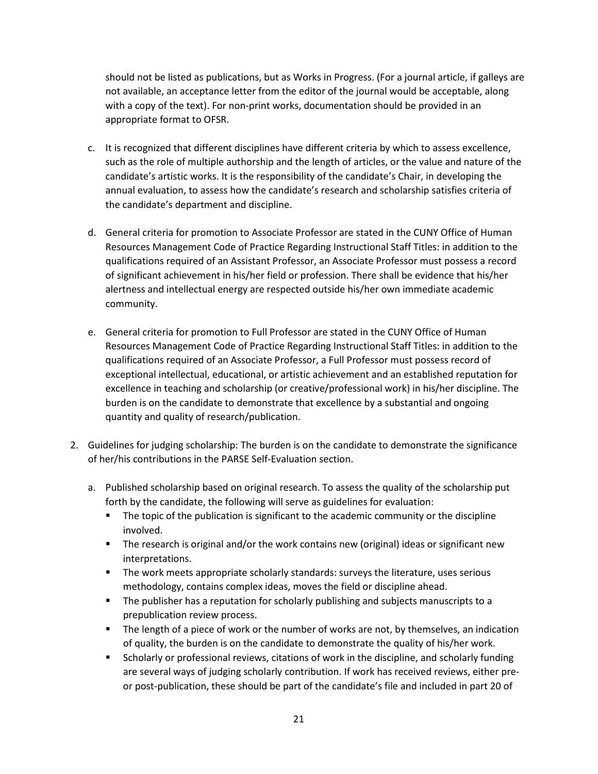should not be listed as publications, but as Works in Progress. (For a journal article, if galleys are not available, an acceptance letter from the editor of the journal would be acceptable, along with a copy of the text). For non-print works, documentation should be provided in an appropriate format to OFSR.

- c. It is recognized that different disciplines have different criteria by which to assess excellence, such as the role of multiple authorship and the length of articles, or the value and nature of the candidate's artistic works. It is the responsibility of the candidate's Chair, in developing the annual evaluation, to assess how the candidate's research and scholarship satisfies criteria of the candidate's department and discipline.
- d. General criteria for promotion to Associate Professor are stated in the CUNY Office of Human Resources Management Code of Practice Regarding Instructional Staff Titles: in addition to the qualifications required of an Assistant Professor, an Associate Professor must possess a record of significant achievement in his/her field or profession. There shall be evidence that his/her alertness and intellectual energy are respected outside his/her own immediate academic community.
- e. General criteria for promotion to Full Professor are stated in the CUNY Office of Human Resources Management Code of Practice Regarding Instructional Staff Titles: in addition to the qualifications required of an Associate Professor, a Full Professor must possess record of exceptional intellectual, educational, or artistic achievement and an established reputation for excellence in teaching and scholarship (or creative/professional work) in his/her discipline. The burden is on the candidate to demonstrate that excellence by a substantial and ongoing quantity and quality of research/publication.
- 2. Guidelines for judging scholarship: The burden is on the candidate to demonstrate the significance of her/his contributions in the PARSE Self-Evaluation section.
	- a. Published scholarship based on original research. To assess the quality of the scholarship put forth by the candidate, the following will serve as guidelines for evaluation:
		- **The topic of the publication is significant to the academic community or the discipline** involved.
		- The research is original and/or the work contains new (original) ideas or significant new interpretations.
		- **The work meets appropriate scholarly standards: surveys the literature, uses serious** methodology, contains complex ideas, moves the field or discipline ahead.
		- **The publisher has a reputation for scholarly publishing and subjects manuscripts to a** prepublication review process.
		- **The length of a piece of work or the number of works are not, by themselves, an indication** of quality, the burden is on the candidate to demonstrate the quality of his/her work.
		- **Scholarly or professional reviews, citations of work in the discipline, and scholarly funding** are several ways of judging scholarly contribution. If work has received reviews, either preor post-publication, these should be part of the candidate's file and included in part 20 of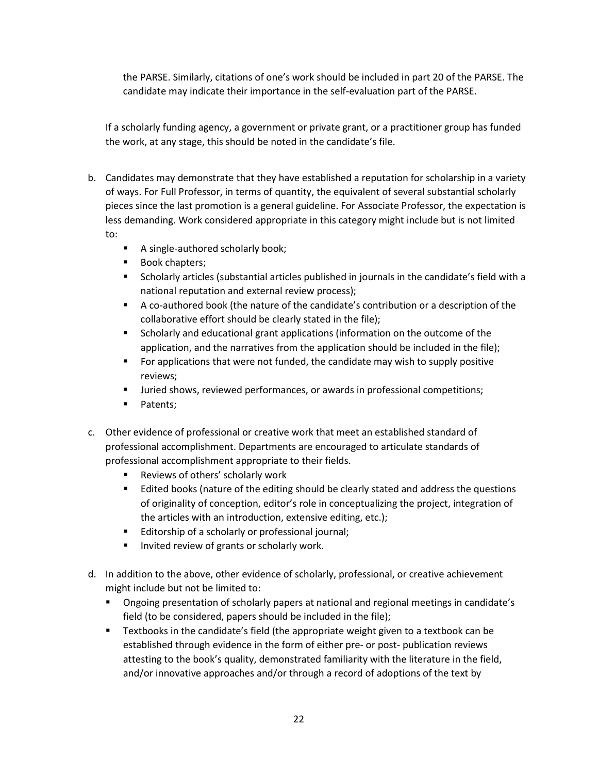the PARSE. Similarly, citations of one's work should be included in part 20 of the PARSE. The candidate may indicate their importance in the self-evaluation part of the PARSE.

If a scholarly funding agency, a government or private grant, or a practitioner group has funded the work, at any stage, this should be noted in the candidate's file.

- b. Candidates may demonstrate that they have established a reputation for scholarship in a variety of ways. For Full Professor, in terms of quantity, the equivalent of several substantial scholarly pieces since the last promotion is a general guideline. For Associate Professor, the expectation is less demanding. Work considered appropriate in this category might include but is not limited to:
	- A single-authored scholarly book;
	- **Book chapters;**
	- Scholarly articles (substantial articles published in journals in the candidate's field with a national reputation and external review process);
	- A co-authored book (the nature of the candidate's contribution or a description of the collaborative effort should be clearly stated in the file);
	- **Scholarly and educational grant applications (information on the outcome of the** application, and the narratives from the application should be included in the file);
	- For applications that were not funded, the candidate may wish to supply positive reviews;
	- **ULTA:** Juried shows, reviewed performances, or awards in professional competitions;
	- Patents;
- c. Other evidence of professional or creative work that meet an established standard of professional accomplishment. Departments are encouraged to articulate standards of professional accomplishment appropriate to their fields.
	- **Reviews of others' scholarly work**
	- **Edited books (nature of the editing should be clearly stated and address the questions** of originality of conception, editor's role in conceptualizing the project, integration of the articles with an introduction, extensive editing, etc.);
	- **Editorship of a scholarly or professional journal;**
	- **Invited review of grants or scholarly work.**
- d. In addition to the above, other evidence of scholarly, professional, or creative achievement might include but not be limited to:
	- Ongoing presentation of scholarly papers at national and regional meetings in candidate's field (to be considered, papers should be included in the file);
	- Textbooks in the candidate's field (the appropriate weight given to a textbook can be established through evidence in the form of either pre- or post- publication reviews attesting to the book's quality, demonstrated familiarity with the literature in the field, and/or innovative approaches and/or through a record of adoptions of the text by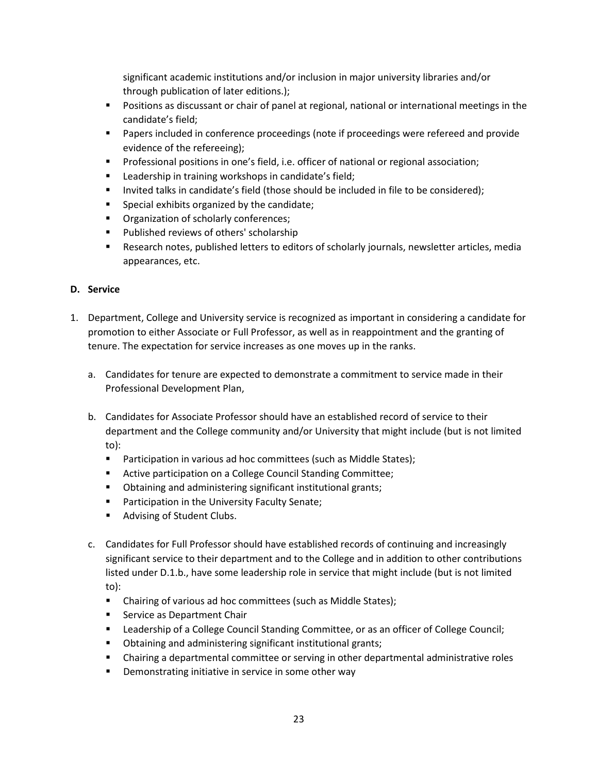significant academic institutions and/or inclusion in major university libraries and/or through publication of later editions.);

- **P** Positions as discussant or chair of panel at regional, national or international meetings in the candidate's field;
- **Papers included in conference proceedings (note if proceedings were refereed and provide** evidence of the refereeing);
- Professional positions in one's field, i.e. officer of national or regional association;
- **EXECT** Leadership in training workshops in candidate's field;
- Invited talks in candidate's field (those should be included in file to be considered);
- **Special exhibits organized by the candidate;**
- **Organization of scholarly conferences;**
- **Published reviews of others' scholarship**
- **EXE** Research notes, published letters to editors of scholarly journals, newsletter articles, media appearances, etc.

# **D. Service**

- 1. Department, College and University service is recognized as important in considering a candidate for promotion to either Associate or Full Professor, as well as in reappointment and the granting of tenure. The expectation for service increases as one moves up in the ranks.
	- a. Candidates for tenure are expected to demonstrate a commitment to service made in their Professional Development Plan,
	- b. Candidates for Associate Professor should have an established record of service to their department and the College community and/or University that might include (but is not limited to):
		- **Participation in various ad hoc committees (such as Middle States);**
		- **EXECT** Active participation on a College Council Standing Committee;
		- **D** Obtaining and administering significant institutional grants;
		- **Participation in the University Faculty Senate;**
		- **Advising of Student Clubs.**
	- c. Candidates for Full Professor should have established records of continuing and increasingly significant service to their department and to the College and in addition to other contributions listed under D.1.b., have some leadership role in service that might include (but is not limited to):
		- Chairing of various ad hoc committees (such as Middle States);
		- **Service as Department Chair**
		- Leadership of a College Council Standing Committee, or as an officer of College Council;
		- **D** Obtaining and administering significant institutional grants;
		- Chairing a departmental committee or serving in other departmental administrative roles
		- **•** Demonstrating initiative in service in some other way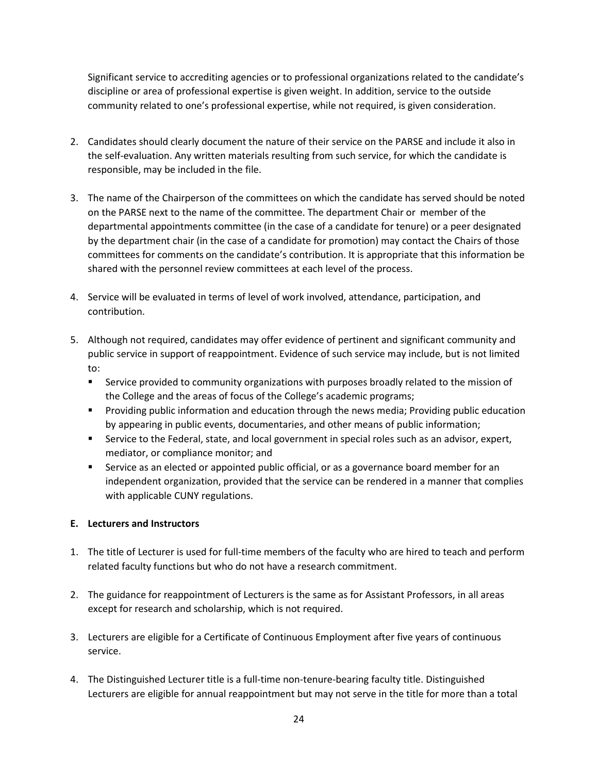Significant service to accrediting agencies or to professional organizations related to the candidate's discipline or area of professional expertise is given weight. In addition, service to the outside community related to one's professional expertise, while not required, is given consideration.

- 2. Candidates should clearly document the nature of their service on the PARSE and include it also in the self-evaluation. Any written materials resulting from such service, for which the candidate is responsible, may be included in the file.
- 3. The name of the Chairperson of the committees on which the candidate has served should be noted on the PARSE next to the name of the committee. The department Chair or member of the departmental appointments committee (in the case of a candidate for tenure) or a peer designated by the department chair (in the case of a candidate for promotion) may contact the Chairs of those committees for comments on the candidate's contribution. It is appropriate that this information be shared with the personnel review committees at each level of the process.
- 4. Service will be evaluated in terms of level of work involved, attendance, participation, and contribution.
- 5. Although not required, candidates may offer evidence of pertinent and significant community and public service in support of reappointment. Evidence of such service may include, but is not limited to:
	- **Service provided to community organizations with purposes broadly related to the mission of** the College and the areas of focus of the College's academic programs;
	- **Providing public information and education through the news media; Providing public education** by appearing in public events, documentaries, and other means of public information;
	- **Service to the Federal, state, and local government in special roles such as an advisor, expert,** mediator, or compliance monitor; and
	- **Service as an elected or appointed public official, or as a governance board member for an** independent organization, provided that the service can be rendered in a manner that complies with applicable CUNY regulations.

# **E. Lecturers and Instructors**

- 1. The title of Lecturer is used for full-time members of the faculty who are hired to teach and perform related faculty functions but who do not have a research commitment.
- 2. The guidance for reappointment of Lecturers is the same as for Assistant Professors, in all areas except for research and scholarship, which is not required.
- 3. Lecturers are eligible for a Certificate of Continuous Employment after five years of continuous service.
- 4. The Distinguished Lecturer title is a full-time non-tenure-bearing faculty title. Distinguished Lecturers are eligible for annual reappointment but may not serve in the title for more than a total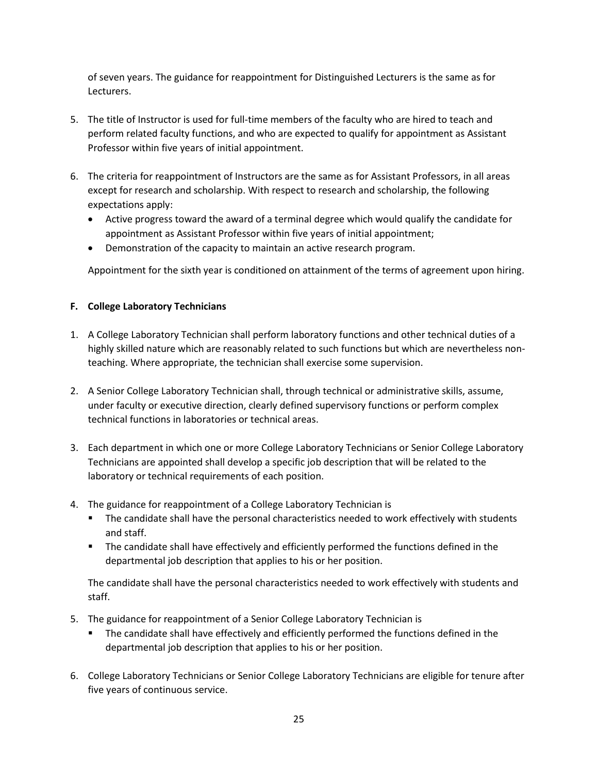of seven years. The guidance for reappointment for Distinguished Lecturers is the same as for Lecturers.

- 5. The title of Instructor is used for full-time members of the faculty who are hired to teach and perform related faculty functions, and who are expected to qualify for appointment as Assistant Professor within five years of initial appointment.
- 6. The criteria for reappointment of Instructors are the same as for Assistant Professors, in all areas except for research and scholarship. With respect to research and scholarship, the following expectations apply:
	- Active progress toward the award of a terminal degree which would qualify the candidate for appointment as Assistant Professor within five years of initial appointment;
	- Demonstration of the capacity to maintain an active research program.

Appointment for the sixth year is conditioned on attainment of the terms of agreement upon hiring.

# **F. College Laboratory Technicians**

- 1. A College Laboratory Technician shall perform laboratory functions and other technical duties of a highly skilled nature which are reasonably related to such functions but which are nevertheless nonteaching. Where appropriate, the technician shall exercise some supervision.
- 2. A Senior College Laboratory Technician shall, through technical or administrative skills, assume, under faculty or executive direction, clearly defined supervisory functions or perform complex technical functions in laboratories or technical areas.
- 3. Each department in which one or more College Laboratory Technicians or Senior College Laboratory Technicians are appointed shall develop a specific job description that will be related to the laboratory or technical requirements of each position.
- 4. The guidance for reappointment of a College Laboratory Technician is
	- The candidate shall have the personal characteristics needed to work effectively with students and staff.
	- **The candidate shall have effectively and efficiently performed the functions defined in the** departmental job description that applies to his or her position.

The candidate shall have the personal characteristics needed to work effectively with students and staff.

- 5. The guidance for reappointment of a Senior College Laboratory Technician is
	- The candidate shall have effectively and efficiently performed the functions defined in the departmental job description that applies to his or her position.
- 6. College Laboratory Technicians or Senior College Laboratory Technicians are eligible for tenure after five years of continuous service.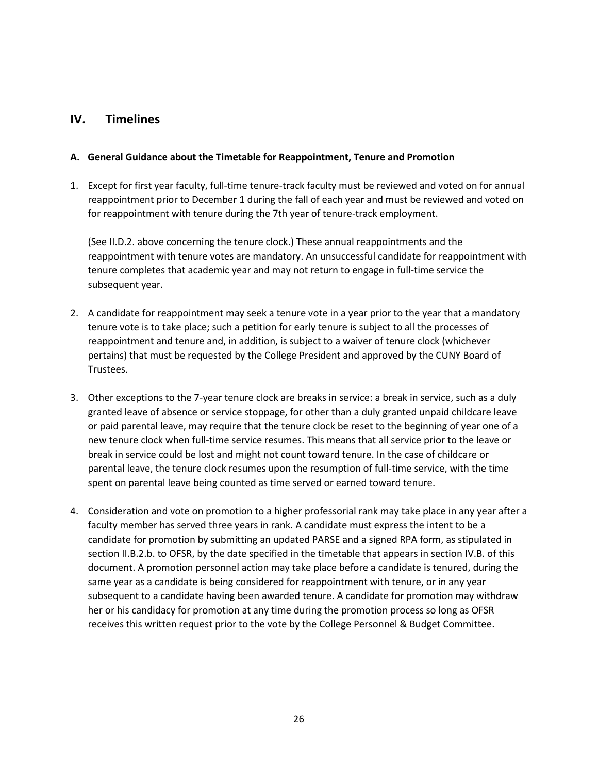# **IV. Timelines**

### **A. General Guidance about the Timetable for Reappointment, Tenure and Promotion**

1. Except for first year faculty, full-time tenure-track faculty must be reviewed and voted on for annual reappointment prior to December 1 during the fall of each year and must be reviewed and voted on for reappointment with tenure during the 7th year of tenure-track employment.

(See II.D.2. above concerning the tenure clock.) These annual reappointments and the reappointment with tenure votes are mandatory. An unsuccessful candidate for reappointment with tenure completes that academic year and may not return to engage in full-time service the subsequent year.

- 2. A candidate for reappointment may seek a tenure vote in a year prior to the year that a mandatory tenure vote is to take place; such a petition for early tenure is subject to all the processes of reappointment and tenure and, in addition, is subject to a waiver of tenure clock (whichever pertains) that must be requested by the College President and approved by the CUNY Board of Trustees.
- 3. Other exceptions to the 7-year tenure clock are breaks in service: a break in service, such as a duly granted leave of absence or service stoppage, for other than a duly granted unpaid childcare leave or paid parental leave, may require that the tenure clock be reset to the beginning of year one of a new tenure clock when full-time service resumes. This means that all service prior to the leave or break in service could be lost and might not count toward tenure. In the case of childcare or parental leave, the tenure clock resumes upon the resumption of full-time service, with the time spent on parental leave being counted as time served or earned toward tenure.
- 4. Consideration and vote on promotion to a higher professorial rank may take place in any year after a faculty member has served three years in rank. A candidate must express the intent to be a candidate for promotion by submitting an updated PARSE and a signed RPA form, as stipulated in section II.B.2.b. to OFSR, by the date specified in the timetable that appears in section IV.B. of this document. A promotion personnel action may take place before a candidate is tenured, during the same year as a candidate is being considered for reappointment with tenure, or in any year subsequent to a candidate having been awarded tenure. A candidate for promotion may withdraw her or his candidacy for promotion at any time during the promotion process so long as OFSR receives this written request prior to the vote by the College Personnel & Budget Committee.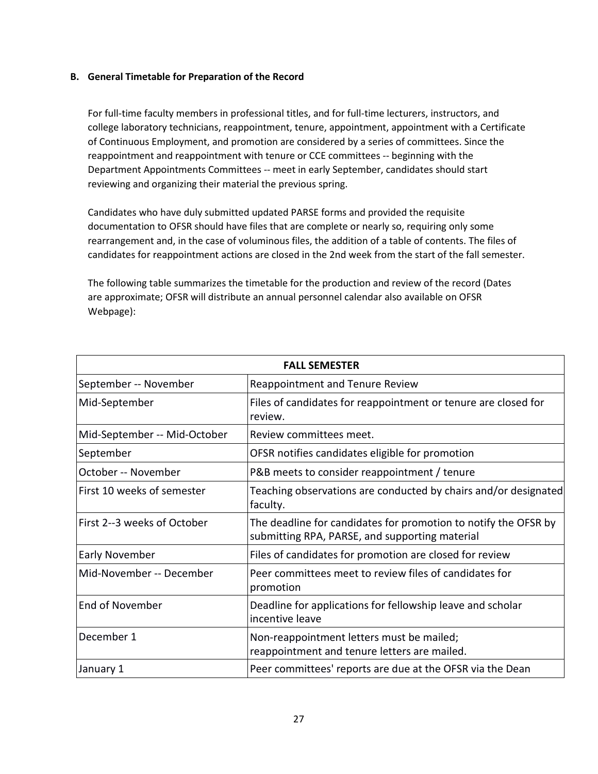### **B. General Timetable for Preparation of the Record**

For full-time faculty members in professional titles, and for full-time lecturers, instructors, and college laboratory technicians, reappointment, tenure, appointment, appointment with a Certificate of Continuous Employment, and promotion are considered by a series of committees. Since the reappointment and reappointment with tenure or CCE committees -- beginning with the Department Appointments Committees -- meet in early September, candidates should start reviewing and organizing their material the previous spring.

Candidates who have duly submitted updated PARSE forms and provided the requisite documentation to OFSR should have files that are complete or nearly so, requiring only some rearrangement and, in the case of voluminous files, the addition of a table of contents. The files of candidates for reappointment actions are closed in the 2nd week from the start of the fall semester.

The following table summarizes the timetable for the production and review of the record (Dates are approximate; OFSR will distribute an annual personnel calendar also available on OFSR Webpage):

| <b>FALL SEMESTER</b>         |                                                                                                                   |  |
|------------------------------|-------------------------------------------------------------------------------------------------------------------|--|
| September -- November        | <b>Reappointment and Tenure Review</b>                                                                            |  |
| Mid-September                | Files of candidates for reappointment or tenure are closed for<br>review.                                         |  |
| Mid-September -- Mid-October | Review committees meet.                                                                                           |  |
| September                    | OFSR notifies candidates eligible for promotion                                                                   |  |
| October -- November          | P&B meets to consider reappointment / tenure                                                                      |  |
| First 10 weeks of semester   | Teaching observations are conducted by chairs and/or designated<br>faculty.                                       |  |
| First 2--3 weeks of October  | The deadline for candidates for promotion to notify the OFSR by<br>submitting RPA, PARSE, and supporting material |  |
| Early November               | Files of candidates for promotion are closed for review                                                           |  |
| Mid-November -- December     | Peer committees meet to review files of candidates for<br>promotion                                               |  |
| <b>End of November</b>       | Deadline for applications for fellowship leave and scholar<br>incentive leave                                     |  |
| December 1                   | Non-reappointment letters must be mailed;<br>reappointment and tenure letters are mailed.                         |  |
| January 1                    | Peer committees' reports are due at the OFSR via the Dean                                                         |  |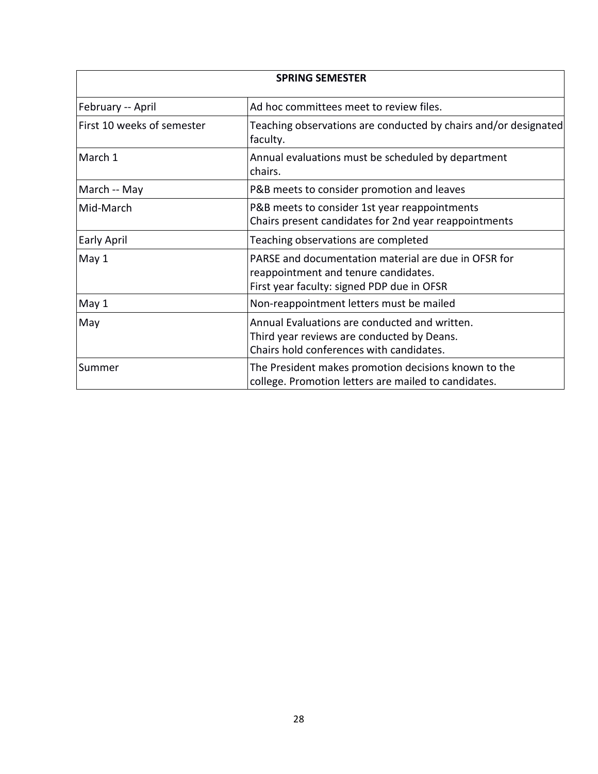| <b>SPRING SEMESTER</b>     |                                                                                                                                            |  |
|----------------------------|--------------------------------------------------------------------------------------------------------------------------------------------|--|
| February -- April          | Ad hoc committees meet to review files.                                                                                                    |  |
| First 10 weeks of semester | Teaching observations are conducted by chairs and/or designated<br>faculty.                                                                |  |
| March 1                    | Annual evaluations must be scheduled by department<br>chairs.                                                                              |  |
| March -- May               | P&B meets to consider promotion and leaves                                                                                                 |  |
| Mid-March                  | P&B meets to consider 1st year reappointments<br>Chairs present candidates for 2nd year reappointments                                     |  |
| <b>Early April</b>         | Teaching observations are completed                                                                                                        |  |
| May 1                      | PARSE and documentation material are due in OFSR for<br>reappointment and tenure candidates.<br>First year faculty: signed PDP due in OFSR |  |
| May 1                      | Non-reappointment letters must be mailed                                                                                                   |  |
| May                        | Annual Evaluations are conducted and written.<br>Third year reviews are conducted by Deans.<br>Chairs hold conferences with candidates.    |  |
| Summer                     | The President makes promotion decisions known to the<br>college. Promotion letters are mailed to candidates.                               |  |